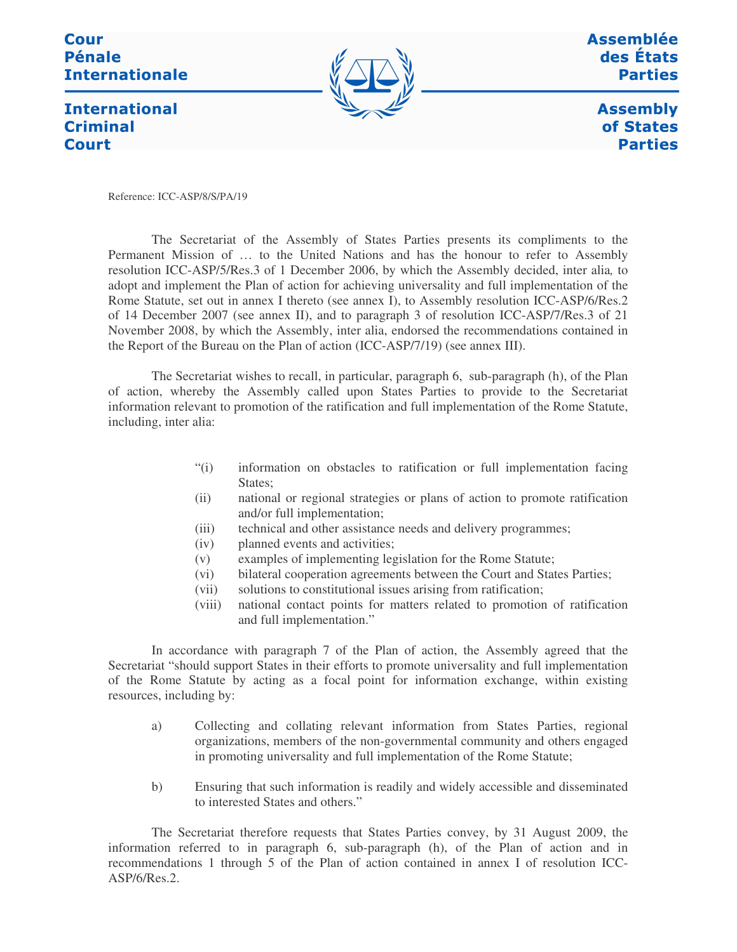## Cour **Pénale Internationale**



Assemblée des États **Parties** 

**International Criminal Court** 

**Assembly** of States **Parties** 

Reference: ICC-ASP/8/S/PA/19

The Secretariat of the Assembly of States Parties presents its compliments to the Permanent Mission of … to the United Nations and has the honour to refer to Assembly resolution ICC-ASP/5/Res.3 of 1 December 2006, by which the Assembly decided, inter alia*,* to adopt and implement the Plan of action for achieving universality and full implementation of the Rome Statute, set out in annex I thereto (see annex I), to Assembly resolution ICC-ASP/6/Res.2 of 14 December 2007 (see annex II), and to paragraph 3 of resolution ICC-ASP/7/Res.3 of 21 November 2008, by which the Assembly, inter alia, endorsed the recommendations contained in the Report of the Bureau on the Plan of action (ICC-ASP/7/19) (see annex III).

The Secretariat wishes to recall, in particular, paragraph 6, sub-paragraph (h), of the Plan of action, whereby the Assembly called upon States Parties to provide to the Secretariat information relevant to promotion of the ratification and full implementation of the Rome Statute, including, inter alia:

- "(i) information on obstacles to ratification or full implementation facing States:
- (ii) national or regional strategies or plans of action to promote ratification and/or full implementation;
- (iii) technical and other assistance needs and delivery programmes;
- (iv) planned events and activities;
- (v) examples of implementing legislation for the Rome Statute;
- (vi) bilateral cooperation agreements between the Court and States Parties;
- (vii) solutions to constitutional issues arising from ratification;
- (viii) national contact points for matters related to promotion of ratification and full implementation."

In accordance with paragraph 7 of the Plan of action, the Assembly agreed that the Secretariat "should support States in their efforts to promote universality and full implementation of the Rome Statute by acting as a focal point for information exchange, within existing resources, including by:

- a) Collecting and collating relevant information from States Parties, regional organizations, members of the non-governmental community and others engaged in promoting universality and full implementation of the Rome Statute;
- b) Ensuring that such information is readily and widely accessible and disseminated to interested States and others."

The Secretariat therefore requests that States Parties convey, by 31 August 2009, the information referred to in paragraph 6, sub-paragraph (h), of the Plan of action and in recommendations 1 through 5 of the Plan of action contained in annex I of resolution ICC-ASP/6/Res.2.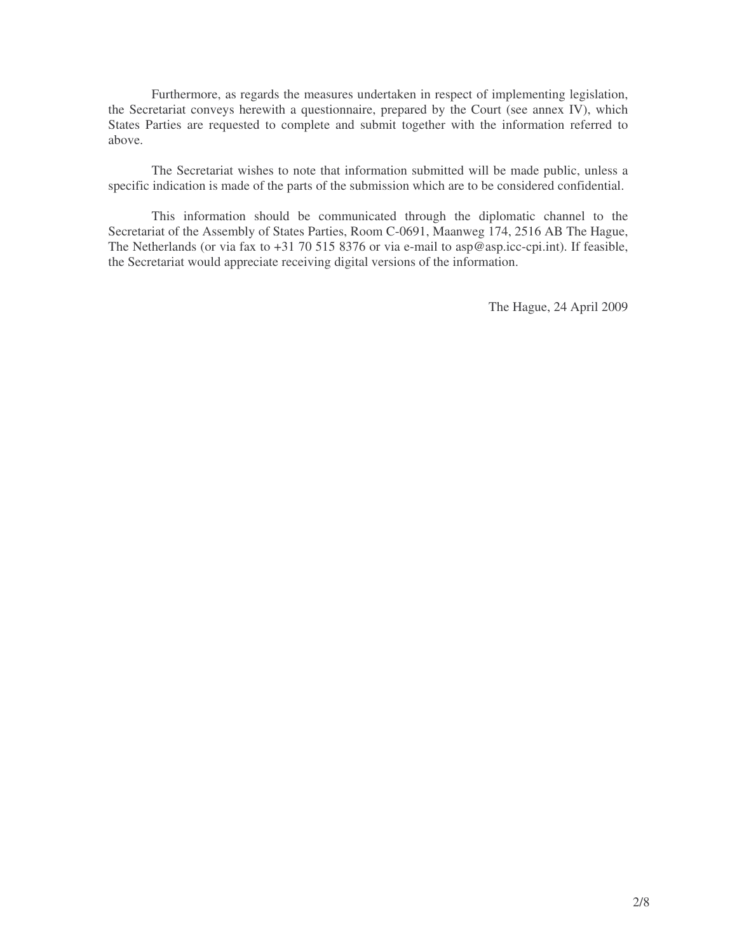Furthermore, as regards the measures undertaken in respect of implementing legislation, the Secretariat conveys herewith a questionnaire, prepared by the Court (see annex IV), which States Parties are requested to complete and submit together with the information referred to above.

The Secretariat wishes to note that information submitted will be made public, unless a specific indication is made of the parts of the submission which are to be considered confidential.

This information should be communicated through the diplomatic channel to the Secretariat of the Assembly of States Parties, Room C-0691, Maanweg 174, 2516 AB The Hague, The Netherlands (or via fax to  $+31$  70 515 8376 or via e-mail to asp@asp.icc-cpi.int). If feasible, the Secretariat would appreciate receiving digital versions of the information.

The Hague, 24 April 2009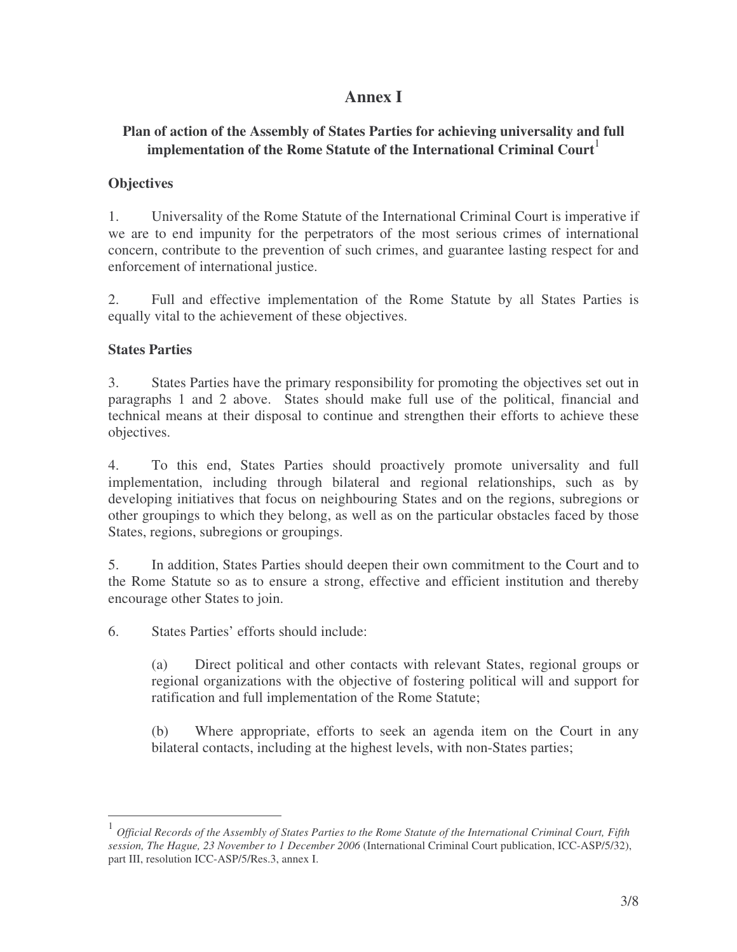# **Annex I**

## **Plan of action of the Assembly of States Parties for achieving universality and full implementation of the Rome Statute of the International Criminal Court** 1

## **Objectives**

1. Universality of the Rome Statute of the International Criminal Court is imperative if we are to end impunity for the perpetrators of the most serious crimes of international concern, contribute to the prevention of such crimes, and guarantee lasting respect for and enforcement of international justice.

2. Full and effective implementation of the Rome Statute by all States Parties is equally vital to the achievement of these objectives.

### **States Parties**

3. States Parties have the primary responsibility for promoting the objectives set out in paragraphs 1 and 2 above. States should make full use of the political, financial and technical means at their disposal to continue and strengthen their efforts to achieve these objectives.

4. To this end, States Parties should proactively promote universality and full implementation, including through bilateral and regional relationships, such as by developing initiatives that focus on neighbouring States and on the regions, subregions or other groupings to which they belong, as well as on the particular obstacles faced by those States, regions, subregions or groupings.

5. In addition, States Parties should deepen their own commitment to the Court and to the Rome Statute so as to ensure a strong, effective and efficient institution and thereby encourage other States to join.

6. States Parties' efforts should include:

(a) Direct political and other contacts with relevant States, regional groups or regional organizations with the objective of fostering political will and support for ratification and full implementation of the Rome Statute;

(b) Where appropriate, efforts to seek an agenda item on the Court in any bilateral contacts, including at the highest levels, with non-States parties;

<sup>1</sup> Official Records of the Assembly of States Parties to the Rome Statute of the International Criminal Court, Fifth *session, The Hague, 23 November to 1 December 2006* (International Criminal Court publication, ICC-ASP/5/32), part III, resolution ICC-ASP/5/Res.3, annex I.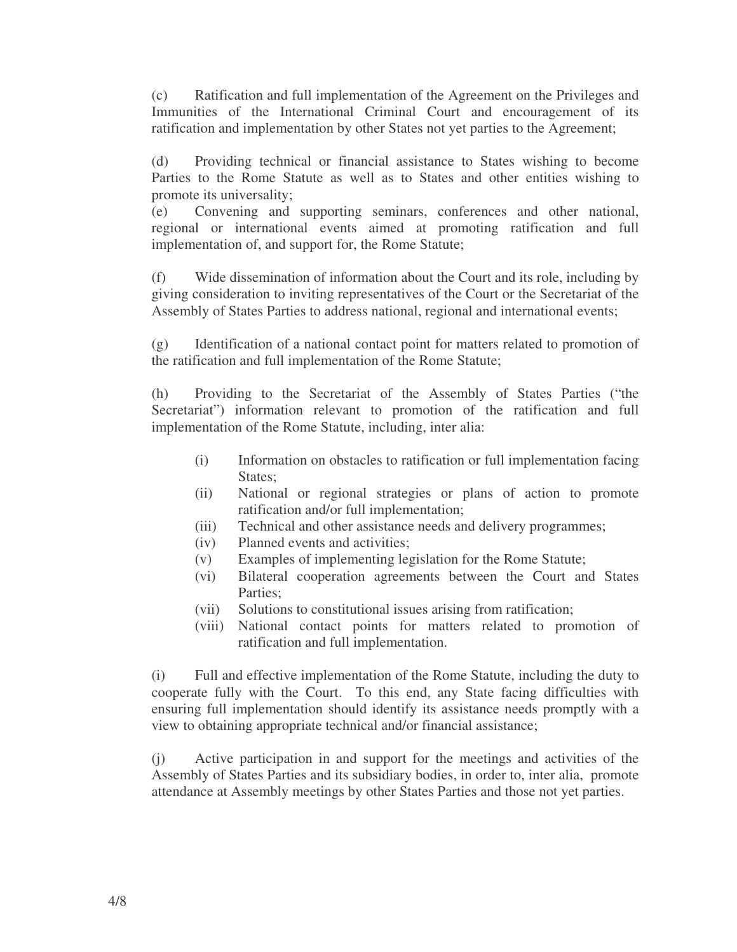(c) Ratification and full implementation of the Agreement on the Privileges and Immunities of the International Criminal Court and encouragement of its ratification and implementation by other States not yet parties to the Agreement;

(d) Providing technical or financial assistance to States wishing to become Parties to the Rome Statute as well as to States and other entities wishing to promote its universality;

(e) Convening and supporting seminars, conferences and other national, regional or international events aimed at promoting ratification and full implementation of, and support for, the Rome Statute;

(f) Wide dissemination of information about the Court and its role, including by giving consideration to inviting representatives of the Court or the Secretariat of the Assembly of States Parties to address national, regional and international events;

(g) Identification of a national contact point for matters related to promotion of the ratification and full implementation of the Rome Statute;

(h) Providing to the Secretariat of the Assembly of States Parties ("the Secretariat") information relevant to promotion of the ratification and full implementation of the Rome Statute, including, inter alia:

- (i) Information on obstacles to ratification or full implementation facing States;
- (ii) National or regional strategies or plans of action to promote ratification and/or full implementation;
- (iii) Technical and other assistance needs and delivery programmes;
- (iv) Planned events and activities;
- (v) Examples of implementing legislation for the Rome Statute;
- (vi) Bilateral cooperation agreements between the Court and States Parties;
- (vii) Solutions to constitutional issues arising from ratification;
- (viii) National contact points for matters related to promotion of ratification and full implementation.

(i) Full and effective implementation of the Rome Statute, including the duty to cooperate fully with the Court. To this end, any State facing difficulties with ensuring full implementation should identify its assistance needs promptly with a view to obtaining appropriate technical and/or financial assistance;

(j) Active participation in and support for the meetings and activities of the Assembly of States Parties and its subsidiary bodies, in order to, inter alia, promote attendance at Assembly meetings by other States Parties and those not yet parties.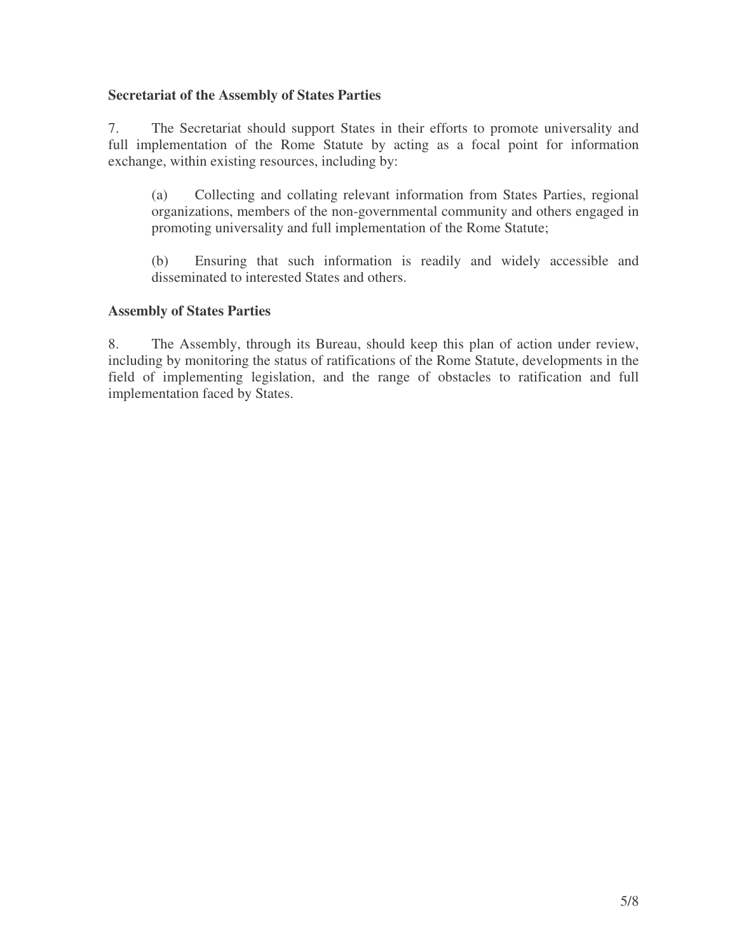## **Secretariat of the Assembly of States Parties**

7. The Secretariat should support States in their efforts to promote universality and full implementation of the Rome Statute by acting as a focal point for information exchange, within existing resources, including by:

(a) Collecting and collating relevant information from States Parties, regional organizations, members of the non-governmental community and others engaged in promoting universality and full implementation of the Rome Statute;

(b) Ensuring that such information is readily and widely accessible and disseminated to interested States and others.

### **Assembly of States Parties**

8. The Assembly, through its Bureau, should keep this plan of action under review, including by monitoring the status of ratifications of the Rome Statute, developments in the field of implementing legislation, and the range of obstacles to ratification and full implementation faced by States.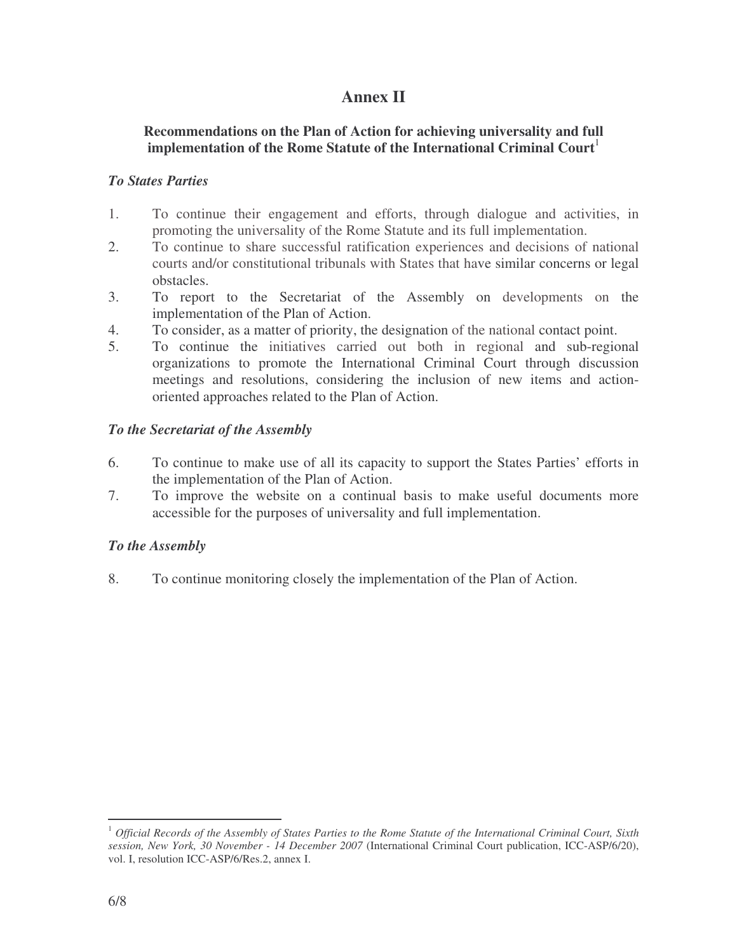# **Annex II**

## **Recommendations on the Plan of Action for achieving universality and full implementation of the Rome Statute of the International Criminal Court** 1

### *To States Parties*

- 1. To continue their engagement and efforts, through dialogue and activities, in promoting the universality of the Rome Statute and its full implementation.
- 2. To continue to share successful ratification experiences and decisions of national courts and/or constitutional tribunals with States that have similar concerns or legal obstacles.
- 3. To report to the Secretariat of the Assembly on developments on the implementation of the Plan of Action.
- 4. To consider, as a matter of priority, the designation of the national contact point.
- 5. To continue the initiatives carried out both in regional and sub-regional organizations to promote the International Criminal Court through discussion meetings and resolutions, considering the inclusion of new items and actionoriented approaches related to the Plan of Action.

### *To the Secretariat of the Assembly*

- 6. To continue to make use of all its capacity to support the States Parties' efforts in the implementation of the Plan of Action.
- 7. To improve the website on a continual basis to make useful documents more accessible for the purposes of universality and full implementation.

## *To the Assembly*

8. To continue monitoring closely the implementation of the Plan of Action.

 $^1$  Official Records of the Assembly of States Parties to the Rome Statute of the International Criminal Court, Sixth *session, New York, 30 November - 14 December 2007* (International Criminal Court publication, ICC-ASP/6/20), vol. I, resolution ICC-ASP/6/Res.2, annex I.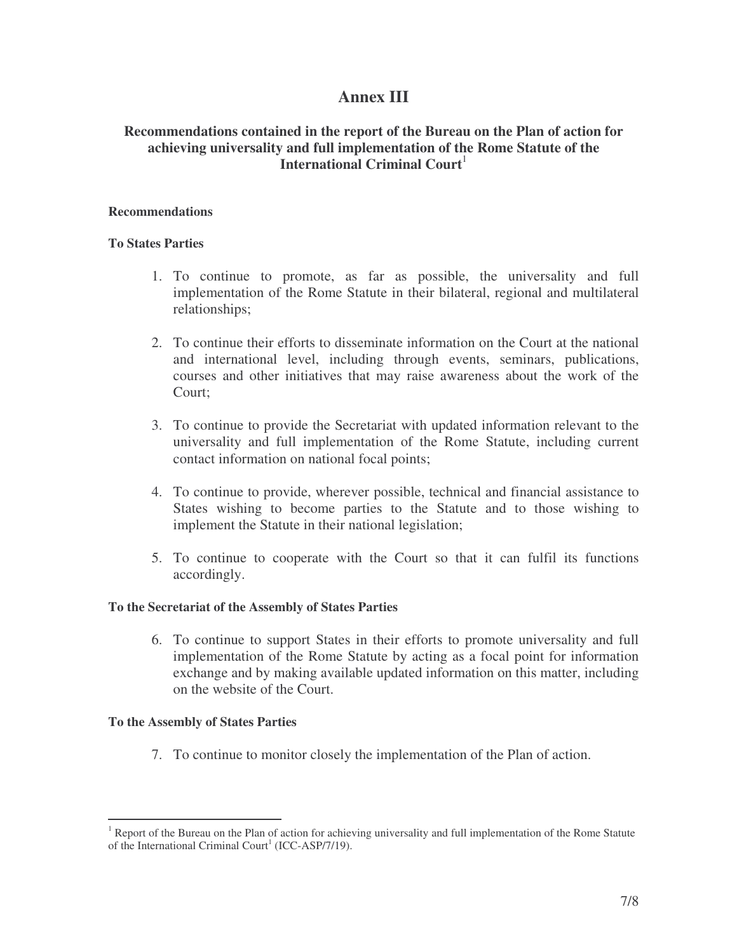## **Annex III**

## **Recommendations contained in the report of the Bureau on the Plan of action for achieving universality and full implementation of the Rome Statute of the International Criminal Court** 1

#### **Recommendations**

#### **To States Parties**

- 1. To continue to promote, as far as possible, the universality and full implementation of the Rome Statute in their bilateral, regional and multilateral relationships;
- 2. To continue their efforts to disseminate information on the Court at the national and international level, including through events, seminars, publications, courses and other initiatives that may raise awareness about the work of the Court;
- 3. To continue to provide the Secretariat with updated information relevant to the universality and full implementation of the Rome Statute, including current contact information on national focal points;
- 4. To continue to provide, wherever possible, technical and financial assistance to States wishing to become parties to the Statute and to those wishing to implement the Statute in their national legislation;
- 5. To continue to cooperate with the Court so that it can fulfil its functions accordingly.

#### **To the Secretariat of the Assembly of States Parties**

6. To continue to support States in their efforts to promote universality and full implementation of the Rome Statute by acting as a focal point for information exchange and by making available updated information on this matter, including on the website of the Court.

#### **To the Assembly of States Parties**

7. To continue to monitor closely the implementation of the Plan of action.

 $1$  Report of the Bureau on the Plan of action for achieving universality and full implementation of the Rome Statute of the International Criminal Court<sup>1</sup> (ICC-ASP/7/19).